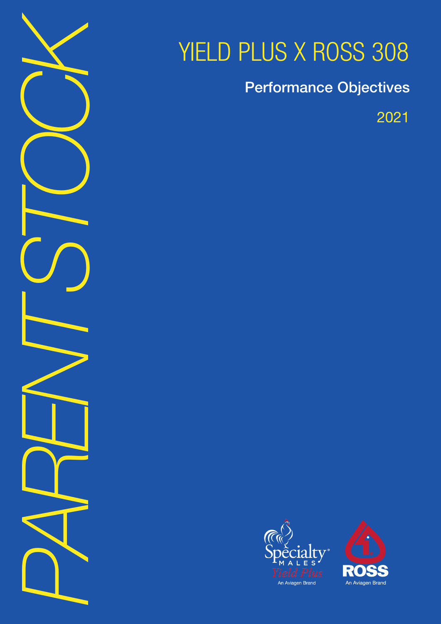

# YIELD PLUS X ROSS 308

Performance Objectives

2021



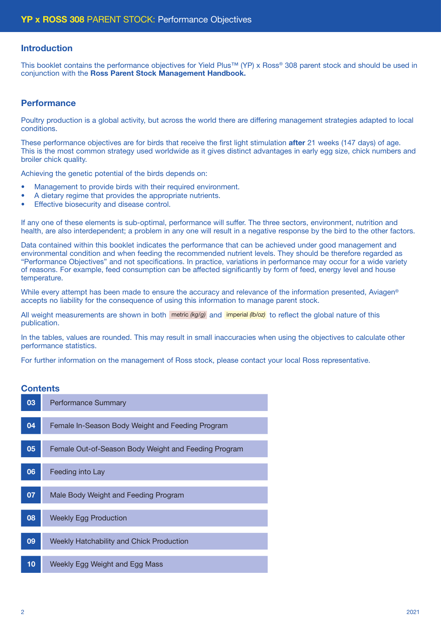### Introduction

This booklet contains the performance objectives for Yield Plus™ (YP) x Ross® 308 parent stock and should be used in conjunction with the Ross Parent Stock Management Handbook.

## **Performance**

Poultry production is a global activity, but across the world there are differing management strategies adapted to local conditions.

These performance objectives are for birds that receive the first light stimulation **after** 21 weeks (147 days) of age. This is the most common strategy used worldwide as it gives distinct advantages in early egg size, chick numbers and broiler chick quality.

Achieving the genetic potential of the birds depends on:

- Management to provide birds with their required environment.
- A dietary regime that provides the appropriate nutrients.
- Effective biosecurity and disease control.

If any one of these elements is sub-optimal, performance will suffer. The three sectors, environment, nutrition and health, are also interdependent; a problem in any one will result in a negative response by the bird to the other factors.

Data contained within this booklet indicates the performance that can be achieved under good management and environmental condition and when feeding the recommended nutrient levels. They should be therefore regarded as "Performance Objectives" and not specifications. In practice, variations in performance may occur for a wide variety of reasons. For example, feed consumption can be affected significantly by form of feed, energy level and house temperature.

While every attempt has been made to ensure the accuracy and relevance of the information presented, Aviagen<sup>®</sup> accepts no liability for the consequence of using this information to manage parent stock.

All weight measurements are shown in both metric (kg/g) and imperial (b/oz) to reflect the global nature of this publication.

In the tables, values are rounded. This may result in small inaccuracies when using the objectives to calculate other performance statistics.

For further information on the management of Ross stock, please contact your local Ross representative.

# **Contents**

| 03 | <b>Performance Summary</b>                           |
|----|------------------------------------------------------|
| 04 | Female In-Season Body Weight and Feeding Program     |
| 05 | Female Out-of-Season Body Weight and Feeding Program |
| 06 | Feeding into Lay                                     |
| 07 | Male Body Weight and Feeding Program                 |
| 08 | <b>Weekly Egg Production</b>                         |
| 09 | Weekly Hatchability and Chick Production             |
| 10 | Weekly Egg Weight and Egg Mass                       |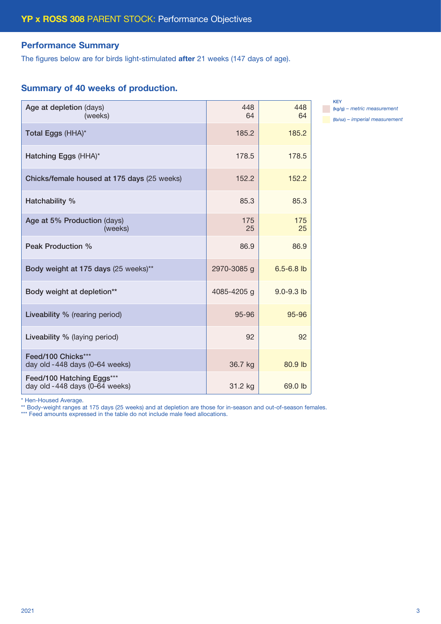# Performance Summary

The figures below are for birds light-stimulated after 21 weeks (147 days of age).

# Summary of 40 weeks of production.

| Age at depletion (days)<br>(weeks)                           | 448<br>64   | 448<br>64      |
|--------------------------------------------------------------|-------------|----------------|
| Total Eggs (HHA)*                                            | 185.2       | 185.2          |
| Hatching Eggs (HHA)*                                         | 178.5       | 178.5          |
| Chicks/female housed at 175 days (25 weeks)                  | 152.2       | 152.2          |
| Hatchability %                                               | 85.3        | 85.3           |
| Age at 5% Production (days)<br>(weeks)                       | 175<br>25   | 175<br>25      |
| Peak Production %                                            | 86.9        | 86.9           |
| Body weight at 175 days (25 weeks)**                         | 2970-3085 g | $6.5 - 6.8$ lb |
| Body weight at depletion**                                   | 4085-4205 g | $9.0 - 9.3$ lb |
| Liveability % (rearing period)                               | 95-96       | 95-96          |
| Liveability % (laying period)                                | 92          | 92             |
| Feed/100 Chicks***<br>day old -448 days (0-64 weeks)         | 36.7 kg     | 80.9 lb        |
| Feed/100 Hatching Eggs***<br>day old - 448 days (0-64 weeks) | 31.2 kg     | 69.0 lb        |

KEY (kg/g) *– metric measurement* (lb/oz) *– imperial measurement*

\* Hen-Housed Average.

\*\* Body-weight ranges at 175 days (25 weeks) and at depletion are those for in-season and out-of-season females.

\*\*\* Feed amounts expressed in the table do not include male feed allocations.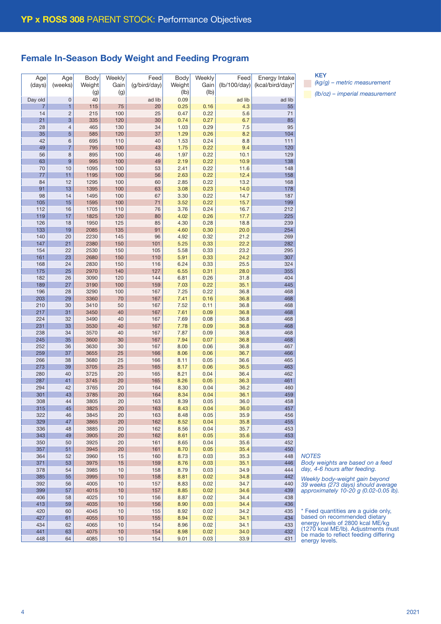# Female In-Season Body Weight and Feeding Program

| Age     | Age            | Body   | Weekly          | Feed         | Body   | Weekly | Feed         | Energy Intake    |
|---------|----------------|--------|-----------------|--------------|--------|--------|--------------|------------------|
| (days)  | (weeks)        | Weight | Gain            | (g/bird/day) | Weight | Gain   | (lb/100/day) | (kcal/bird/day)* |
|         |                | (g)    | (g)             |              | (Ib)   | (Ib)   |              |                  |
|         |                | 40     |                 |              | 0.09   |        |              |                  |
| Day old | $\mathbf 0$    |        |                 | ad lib       |        |        | ad lib       | ad lib           |
| 7       | 1              | 115    | 75              | 20           | 0.25   | 0.16   | 4.3          | 55               |
| 14      | $\overline{c}$ | 215    | 100             | 25           | 0.47   | 0.22   | 5.6          | 71               |
| 21      | 3              | 335    | 120             | 30           | 0.74   | 0.27   | 6.7          | 85               |
| 28      | $\overline{4}$ | 465    | 130             | 34           | 1.03   | 0.29   | 7.5          | 95               |
| 35      | 5              | 585    | 120             | 37           | 1.29   | 0.26   | 8.2          | 104              |
| 42      | 6              | 695    | 110             | 40           | 1.53   | 0.24   | 8.8          | 111              |
| 49      | 7              | 795    | 100             | 43           | 1.75   | 0.22   | 9.4          | 120              |
| 56      | 8              | 895    | 100             | 46           | 1.97   | 0.22   | 10.1         | 129              |
| 63      | $\overline{9}$ | 995    | 100             | 49           | 2.19   | 0.22   | 10.9         | 138              |
| 70      | 10             | 1095   | 100             | 53           | 2.41   | 0.22   | 11.6         | 148              |
| 77      | 11             | 1195   | 100             | 56           | 2.63   | 0.22   | 12.4         | 158              |
| 84      | 12             | 1295   | 100             | 60           | 2.85   | 0.22   | 13.2         | 168              |
| 91      | 13             | 1395   | 100             | 63           | 3.08   | 0.23   | 14.0         | 178              |
| 98      | 14             | 1495   | 100             | 67           | 3.30   | 0.22   | 14.7         | 187              |
| 105     | 15             | 1595   | 100             | 71           | 3.52   | 0.22   | 15.7         | 199              |
| 112     | 16             | 1705   | 110             | 76           | 3.76   | 0.24   | 16.7         | 212              |
| 119     | 17             | 1825   | 120             | 80           | 4.02   | 0.26   | 17.7         | 225              |
| 126     | 18             | 1950   | 125             | 85           | 4.30   | 0.28   | 18.8         | 239              |
| 133     | 19             | 2085   | 135             | 91           | 4.60   | 0.30   | 20.0         | 254              |
| 140     | 20             | 2230   | 145             | 96           | 4.92   | 0.32   | 21.2         | 269              |
| 147     | 21             | 2380   | 150             | 101          | 5.25   | 0.33   | 22.2         | 282              |
| 154     | 22             | 2530   | 150             | 105          | 5.58   | 0.33   | 23.2         | 295              |
| 161     | 23             | 2680   | 150             | 110          | 5.91   | 0.33   | 24.2         | 307              |
| 168     | 24             | 2830   | 150             | 116          | 6.24   | 0.33   | 25.5         | 324              |
| 175     | 25             | 2970   | 140             | 127          | 6.55   | 0.31   | 28.0         | 355              |
| 182     | 26             | 3090   | 120             | 144          | 6.81   | 0.26   | 31.8         | 404              |
| 189     | 27             | 3190   | 100             | 159          | 7.03   | 0.22   | 35.1         | 445              |
| 196     | 28             | 3290   | 100             | 167          | 7.25   | 0.22   | 36.8         | 468              |
| 203     | 29             | 3360   | 70              | 167          | 7.41   | 0.16   | 36.8         | 468              |
| 210     | 30             | 3410   | 50              | 167          | 7.52   | 0.11   | 36.8         | 468              |
| 217     |                |        | 40              |              |        |        |              |                  |
|         | 31             | 3450   |                 | 167          | 7.61   | 0.09   | 36.8         | 468              |
| 224     | 32             | 3490   | 40              | 167          | 7.69   | 0.08   | 36.8         | 468              |
| 231     | 33             | 3530   | 40              | 167          | 7.78   | 0.09   | 36.8         | 468              |
| 238     | 34             | 3570   | 40              | 167          | 7.87   | 0.09   | 36.8         | 468              |
| 245     | 35             | 3600   | 30              | 167          | 7.94   | 0.07   | 36.8         | 468              |
| 252     | 36             | 3630   | 30              | 167          | 8.00   | 0.06   | 36.8         | 467              |
| 259     | 37             | 3655   | 25              | 166          | 8.06   | 0.06   | 36.7         | 466              |
| 266     | 38             | 3680   | 25              | 166          | 8.11   | 0.05   | 36.6         | 465              |
| 273     | 39             | 3705   | 25              | 165          | 8.17   | 0.06   | 36.5         | 463              |
| 280     | 40             | 3725   | 20              | 165          | 8.21   | 0.04   | 36.4         | 462              |
| 287     | 41             | 3745   | 20              | 165          | 8.26   | 0.05   | 36.3         | 461              |
| 294     | 42             | 3765   | 20              | 164          | 8.30   | 0.04   | 36.2         | 460              |
| 301     | 43             | 3785   | 20              | 164          | 8.34   | 0.04   | 36.1         | 459              |
| 308     | 44             | 3805   | 20              | 163          | 8.39   | 0.05   | 36.0         | 458              |
| 315     | 45             | 3825   | 20              | 163          | 8.43   | 0.04   | 36.0         | 457              |
| 322     | 46             | 3845   | 20              | 163          | 8.48   | 0.05   | 35.9         | 456              |
| 329     | 47             | 3865   | 20              | 162          | 8.52   | 0.04   | 35.8         | 455              |
| 336     | 48             | 3885   | 20              | 162          | 8.56   | 0.04   | 35.7         | 453              |
| 343     | 49             | 3905   | 20              | 162          | 8.61   | 0.05   | 35.6         | 453              |
| 350     | 50             | 3925   | 20              | 161          | 8.65   | 0.04   | 35.6         | 452              |
| 357     | 51             | 3945   | 20              | 161          | 8.70   | 0.05   | 35.4         | 450              |
| 364     | 52             | 3960   | 15              | 160          | 8.73   | 0.03   | 35.3         | 448              |
| 371     | 53             | 3975   | 15              | 159          | 8.76   | 0.03   | 35.1         | 446              |
| 378     | 54             | 3985   | $10$            | 158          | 8.79   | 0.03   | 34.9         | 444              |
| 385     | 55             | 3995   | 10              | 158          | 8.81   | 0.02   | 34.8         | 442              |
| 392     | 56             | 4005   | 10              | 157          | 8.83   | 0.02   | 34.7         | 440              |
| 399     | 57             | 4015   | 10              | 157          | 8.85   | 0.02   | 34.6         | 439              |
| 406     | 58             | 4025   | 10              | 156          | 8.87   | 0.02   | 34.4         | 438              |
| 413     | 59             | 4035   | 10              | 156          | 8.90   | 0.03   | 34.4         | 436              |
| 420     | 60             | 4045   | 10              | 155          | 8.92   | 0.02   | 34.2         | 435              |
| 427     | 61             | 4055   | 10              | 155          | 8.94   | 0.02   | 34.1         | 434              |
| 434     | 62             | 4065   | 10              | 154          | 8.96   | 0.02   | 34.1         | 433              |
| 441     | 63             | 4075   | 10              | 154          | 8.98   | 0.02   | 34.0         | 432              |
| 448     | 64             | 4085   | 10 <sup>1</sup> | 154          | 9.01   | 0.03   | 33.9         | 431              |
|         |                |        |                 |              |        |        |              |                  |

**KEY** 

*(kg/g) – metric measurement (lb/oz) – imperial measurement*

*NOTES*

*Body weights are based on a feed day, 4-6 hours after feeding.*

*Weekly body-weight gain beyond 39 weeks (273 days) should average approximately 10-20 g (0.02-0.05 lb).*

\* Feed quantities are a guide only, based on recommended dietary energy levels of 2800 kcal ME/kg (1270 kcal ME/lb). Adjustments must be made to reflect feeding differing energy levels.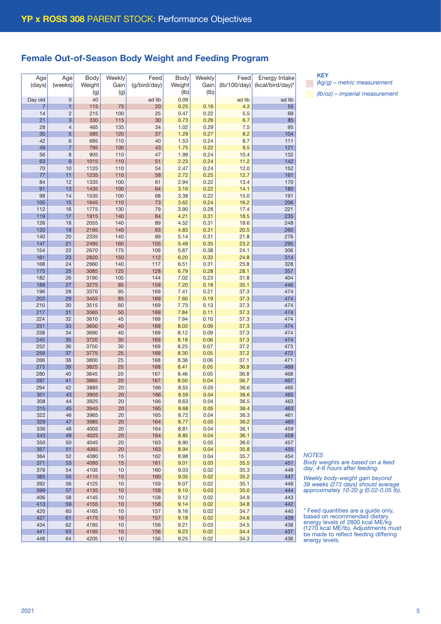# Female Out-of-Season Body Weight and Feeding Program

| Age     | Age            | Body   | Weekly | Feed         | Body   | Weekly | Feed         | Energy Intake    |
|---------|----------------|--------|--------|--------------|--------|--------|--------------|------------------|
| (days)  | (weeks)        | Weight | Gain   | (g/bird/day) | Weight | Gain   | (lb/100/day) | (kcal/bird/day)* |
|         |                | (g)    | (g)    |              | (Ib)   | (lb)   |              |                  |
| Day old | $\mathbf 0$    | 40     |        | ad lib       | 0.09   |        | ad lib       | ad lib           |
|         |                |        |        |              |        |        |              |                  |
| 7       | 1              | 115    | 75     | 20           | 0.25   | 0.16   | 4.3          | 55               |
| 14      | $\overline{c}$ | 215    | 100    | 25           | 0.47   | 0.22   | 5.5          | 69               |
| 21      | 3              | 330    | 115    | 30           | 0.73   | 0.26   | 6.7          | 85               |
| 28      | 4              | 465    | 135    | 34           | 1.02   | 0.29   | 7.5          | 95               |
| 35      | 5              | 585    | 120    | 37           | 1.29   | 0.27   | 8.2          | 104              |
| 42      | 6              | 695    | 110    | 40           | 1.53   | 0.24   | 8.7          | 111              |
| 49      | $\overline{7}$ | 795    | 100    | 43           | 1.75   | 0.22   | 9.5          | 121              |
| 56      | 8              | 905    | 110    | 47           | 1.99   | 0.24   | 10.4         | 132              |
| 63      | 9              | 1015   | 110    | 51           | 2.23   | 0.24   | 11.2         | 142              |
| 70      | 10             | 1125   | 110    | 54           | 2.47   | 0.24   | 12.0         | 152              |
| 77      | 11             | 1235   | 110    | 58           | 2.72   | 0.25   | 12.7         | 161              |
| 84      | 12             | 1335   | 100    | 61           | 2.94   | 0.22   | 13.4         | 170              |
| 91      | 13             | 1435   | 100    | 64           | 3.16   | 0.22   | 14.1         | 180              |
| 98      | 14             | 1535   | 100    | 68           | 3.38   | 0.22   | 15.0         | 191              |
| 105     | 15             | 1645   | 110    | 73           | 3.62   | 0.24   | 16.2         | 206              |
| 112     | 16             | 1775   | 130    | 79           | 3.90   | 0.28   | 17.4         | 221              |
| 119     | 17             | 1915   | 140    | 84           | 4.21   | 0.31   | 18.5         | 235              |
| 126     | 18             | 2055   | 140    | 89           | 4.52   | 0.31   | 19.6         | 248              |
|         |                |        |        |              |        |        |              |                  |
| 133     | 19             | 2195   | 140    | 93           | 4.83   | 0.31   | 20.5         | 260              |
| 140     | 20             | 2335   | 140    | 99           | 5.14   | 0.31   | 21.8         | 276              |
| 147     | 21             | 2495   | 160    | 105          | 5.49   | 0.35   | 23.2         | 295              |
| 154     | 22             | 2670   | 175    | 109          | 5.87   | 0.38   | 24.1         | 306              |
| 161     | 23             | 2820   | 150    | 112          | 6.20   | 0.33   | 24.8         | 314              |
| 168     | 24             | 2960   | 140    | 117          | 6.51   | 0.31   | 25.8         | 328              |
| 175     | 25             | 3085   | 125    | 128          | 6.79   | 0.28   | 28.1         | 357              |
| 182     | 26             | 3190   | 105    | 144          | 7.02   | 0.23   | 31.8         | 404              |
| 189     | 27             | 3275   | 85     | 159          | 7.20   | 0.18   | 35.1         | 446              |
| 196     | 28             | 3370   | 95     | 169          | 7.41   | 0.21   | 37.3         | 474              |
| 203     | 29             | 3455   | 85     | 169          | 7.60   | 0.19   | 37.3         | 474              |
| 210     | 30             | 3515   | 60     | 169          | 7.73   | 0.13   | 37.3         | 474              |
| 217     | 31             | 3565   | 50     | 169          | 7.84   | 0.11   | 37.3         | 474              |
| 224     | 32             | 3610   | 45     | 169          | 7.94   | 0.10   | 37.3         | 474              |
| 231     | 33             | 3650   | 40     | 169          | 8.03   | 0.09   | 37.3         | 474              |
| 238     | 34             | 3690   | 40     | 169          | 8.12   | 0.09   | 37.3         | 474              |
| 245     | 35             | 3720   | 30     | 169          | 8.18   | 0.06   | 37.3         | 474              |
| 252     | 36             | 3750   | 30     | 169          | 8.25   | 0.07   | 37.2         | 473              |
| 259     | 37             | 3775   | 25     | 169          | 8.30   | 0.05   | 37.2         | 472              |
| 266     | 38             | 3800   | 25     | 168          | 8.36   | 0.06   | 37.1         | 471              |
| 273     | 39             | 3825   | 25     | 168          | 8.41   | 0.05   | 36.9         | 469              |
|         |                |        |        |              |        |        |              |                  |
| 280     | 40             | 3845   | 20     | 167          | 8.46   | 0.05   | 36.8         | 468              |
| 287     | 41             | 3865   | 20     | 167          | 8.50   | 0.04   | 36.7         | 467              |
| 294     | 42             | 3885   | 20     | 166          | 8.55   | 0.05   | 36.6         | 465              |
| 301     | 43             | 3905   | 20     | 166          | 8.59   | 0.04   | 36.6         | 465              |
| 308     | 44             | 3925   | 20     | 166          | 8.63   | 0.04   | 36.5         | 463              |
| 315     | 45             | 3945   | 20     | 165          | 8.68   | 0.05   | 36.4         | 463              |
| 322     | 46             | 3965   | 20     | 165          | 8.72   | 0.04   | 36.3         | 461              |
| 329     | 47             | 3985   | 20     | 164          | 8.77   | 0.05   | 36.2         | 460              |
| 336     | 48             | 4005   | 20     | 164          | 8.81   | 0.04   | 36.1         | 459              |
| 343     | 49             | 4025   | 20     | 164          | 8.85   | 0.04   | 36.1         | 458              |
| 350     | 50             | 4045   | 20     | 163          | 8.90   | 0.05   | 36.0         | 457              |
| 357     | 51             | 4065   | 20     | 163          | 8.94   | 0.04   | 35.8         | 455              |
| 364     | 52             | 4080   | 15     | 162          | 8.98   | 0.04   | 35.7         | 454              |
| 371     | 53             | 4095   | 15     | 161          | 9.01   | 0.03   | 35.5         | 451              |
| 378     | 54             | 4105   | 10     | 160          | 9.03   | 0.02   | 35.3         | 449              |
| 385     | 55             | 4115   | 10     | 160          | 9.05   | 0.02   | 35.2         | 447              |
| 392     | 56             | 4125   | 10     | 159          | 9.07   | 0.02   | 35.1         | 446              |
| 399     | 57             | 4135   | 10     | 159          | 9.10   | 0.03   | 35.0         | 444              |
|         |                |        |        |              |        |        |              |                  |
| 406     | 58             | 4145   | 10     | 158          | 9.12   | 0.02   | 34.9         | 443              |
| 413     | 59             | 4155   | 10     | 158          | 9.14   | 0.02   | 34.8         | 442              |
| 420     | 60             | 4165   | 10     | 157          | 9.16   | 0.02   | 34.7         | 440              |
| 427     | 61             | 4175   | 10     | 157          | 9.18   | 0.02   | 34.6         | 439              |
| 434     | 62             | 4185   | 10     | 156          | 9.21   | 0.03   | 34.5         | 438              |
| 441     | 63             | 4195   | 10     | 156          | 9.23   | 0.02   | 34.4         | 437              |
| 448     | 64             | 4205   | $10$   | 156          | 9.25   | 0.02   | 34.3         | 436              |

KEY *(kg/g) – metric measurement (lb/oz) – imperial measurement*

*NOTES*

*Body weights are based on a feed day, 4-6 hours after feeding.*

*Weekly body-weight gain beyond 39 weeks (273 days) should average approximately 10-20 g (0.02-0.05 lb).*

\* Feed quantities are a guide only, based on recommended dietary energy levels of 2800 kcal ME/kg (1270 kcal ME/lb). Adjustments must be made to reflect feeding differing energy levels.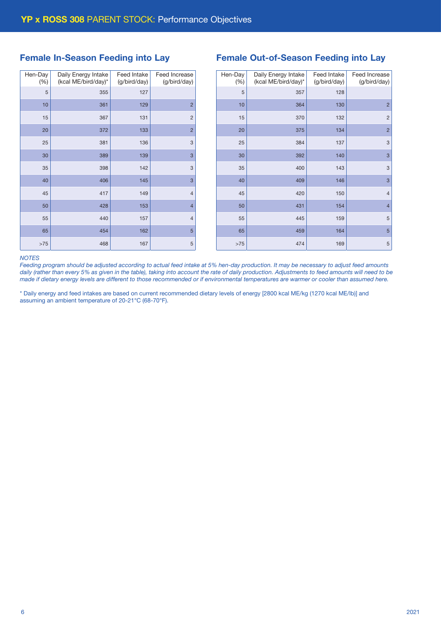# Female In-Season Feeding into Lay

| Hen-Day<br>(% ) | Daily Energy Intake<br>(kcal ME/bird/day)* | Feed Intake<br>(g/bird/day) | Feed Increase<br>(g/bird/day) |
|-----------------|--------------------------------------------|-----------------------------|-------------------------------|
| 5               | 355                                        | 127                         |                               |
| 10              | 361                                        | 129                         | $\overline{2}$                |
| 15              | 367                                        | 131                         | $\overline{c}$                |
| 20              | 372                                        | 133                         | $\overline{2}$                |
| 25              | 381                                        | 136                         | 3                             |
| 30              | 389                                        | 139                         | 3                             |
| 35              | 398                                        | 142                         | 3                             |
| 40              | 406                                        | 145                         | 3                             |
| 45              | 417                                        | 149                         | $\overline{4}$                |
| 50              | 428                                        | 153                         | $\overline{4}$                |
| 55              | 440                                        | 157                         | $\overline{4}$                |
| 65              | 454                                        | 162                         | 5                             |
| $>75$           | 468                                        | 167                         | 5                             |

| <b>Female Out-of-Season Feeding into Lay</b> |  |  |
|----------------------------------------------|--|--|
|----------------------------------------------|--|--|

| Hen-Day<br>(% ) | Daily Energy Intake<br>(kcal ME/bird/day)* | Feed Intake<br>(g/bird/day) | Feed Increase<br>(g/bird/day) |
|-----------------|--------------------------------------------|-----------------------------|-------------------------------|
| 5               | 357                                        | 128                         |                               |
| 10              | 364                                        | 130                         | $\overline{2}$                |
| 15              | 370                                        | 132                         | $\overline{2}$                |
| 20              | 375                                        | 134                         | $\overline{2}$                |
| 25              | 384                                        | 137                         | 3                             |
| 30              | 392                                        | 140                         | 3                             |
| 35              | 400                                        | 143                         | 3                             |
| 40              | 409                                        | 146                         | 3                             |
| 45              | 420                                        | 150                         | $\overline{4}$                |
| 50              | 431                                        | 154                         | $\overline{4}$                |
| 55              | 445                                        | 159                         | 5                             |
| 65              | 459                                        | 164                         | 5                             |
| >75             | 474                                        | 169                         | 5                             |

#### *NOTES*

*Feeding program should be adjusted according to actual feed intake at 5% hen-day production. It may be necessary to adjust feed amounts daily (rather than every 5% as given in the table), taking into account the rate of daily production. Adjustments to feed amounts will need to be made if dietary energy levels are different to those recommended or if environmental temperatures are warmer or cooler than assumed here.*

\* Daily energy and feed intakes are based on current recommended dietary levels of energy [2800 kcal ME/kg (1270 kcal ME/lb)] and assuming an ambient temperature of 20-21°C (68-70°F).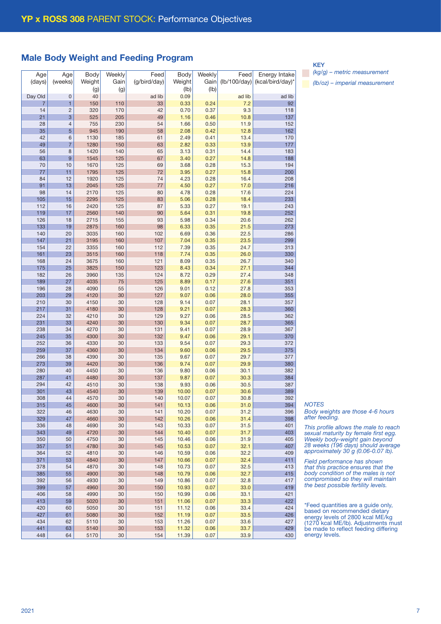# Male Body Weight and Feeding Program

| Age            | Age            | Body   | Weekly | Feed         | Body   | Weekly | Feed         | Energy Intake    |
|----------------|----------------|--------|--------|--------------|--------|--------|--------------|------------------|
| (days)         | (weeks)        | Weight | Gain   | (g/bird/day) | Weight | Gain   | (lb/100/day) | (kcal/bird/day)* |
|                |                | (g)    | (g)    |              | (lb)   | (Ib)   |              |                  |
|                |                |        |        |              |        |        |              |                  |
| Day Old        | 0              | 40     |        | ad lib       | 0.09   |        | ad lib       | ad lib           |
| $\overline{7}$ | 1              | 150    | 110    | 33           | 0.33   | 0.24   | 7.2          | 92               |
| 14             | $\overline{c}$ | 320    | 170    | 42           | 0.70   | 0.37   | 9.3          | 118              |
| 21             | 3              | 525    | 205    | 49           | 1.16   | 0.46   | 10.8         | 137              |
| 28             | $\overline{4}$ | 755    | 230    | 54           | 1.66   | 0.50   | 11.9         | 152              |
| 35             | 5              | 945    | 190    | 58           | 2.08   | 0.42   | 12.8         | 162              |
| 42             | 6              | 1130   | 185    | 61           | 2.49   | 0.41   | 13.4         | 170              |
|                | $\overline{7}$ |        |        |              |        |        |              |                  |
| 49             |                | 1280   | 150    | 63           | 2.82   | 0.33   | 13.9         | 177              |
| 56             | 8              | 1420   | 140    | 65           | 3.13   | 0.31   | 14.4         | 183              |
| 63             | $\overline{9}$ | 1545   | 125    | 67           | 3.40   | 0.27   | 14.8         | 188              |
| 70             | 10             | 1670   | 125    | 69           | 3.68   | 0.28   | 15.3         | 194              |
| 77             | 11             | 1795   | 125    | 72           | 3.95   | 0.27   | 15.8         | 200              |
| 84             | 12             | 1920   | 125    | 74           | 4.23   | 0.28   | 16.4         | 208              |
| 91             | 13             | 2045   | 125    | 77           | 4.50   | 0.27   | 17.0         | 216              |
| 98             | 14             | 2170   | 125    | 80           | 4.78   | 0.28   | 17.6         | 224              |
| 105            | 15             | 2295   | 125    | 83           |        | 0.28   | 18.4         | 233              |
|                |                |        |        |              | 5.06   |        |              |                  |
| 112            | 16             | 2420   | 125    | 87           | 5.33   | 0.27   | 19.1         | 243              |
| 119            | 17             | 2560   | 140    | 90           | 5.64   | 0.31   | 19.8         | 252              |
| 126            | 18             | 2715   | 155    | 93           | 5.98   | 0.34   | 20.6         | 262              |
| 133            | 19             | 2875   | 160    | 98           | 6.33   | 0.35   | 21.5         | 273              |
| 140            | 20             | 3035   | 160    | 102          | 6.69   | 0.36   | 22.5         | 286              |
| 147            | 21             | 3195   | 160    | 107          | 7.04   | 0.35   | 23.5         | 299              |
| 154            | 22             | 3355   | 160    | $112$        | 7.39   | 0.35   | 24.7         | 313              |
| 161            | 23             | 3515   | 160    | 118          | 7.74   | 0.35   | 26.0         | 330              |
|                |                |        |        |              |        |        |              |                  |
| 168            | 24             | 3675   | 160    | 121          | 8.09   | 0.35   | 26.7         | 340              |
| 175            | 25             | 3825   | 150    | 123          | 8.43   | 0.34   | 27.1         | 344              |
| 182            | 26             | 3960   | 135    | 124          | 8.72   | 0.29   | 27.4         | 348              |
| 189            | 27             | 4035   | 75     | 125          | 8.89   | 0.17   | 27.6         | 351              |
| 196            | 28             | 4090   | 55     | 126          | 9.01   | 0.12   | 27.8         | 353              |
| 203            | 29             | 4120   | 30     | 127          | 9.07   | 0.06   | 28.0         | 355              |
| 210            | 30             | 4150   | 30     | 128          | 9.14   | 0.07   | 28.1         | 357              |
| 217            | 31             | 4180   | 30     | 128          | 9.21   | 0.07   | 28.3         | 360              |
|                |                |        |        |              |        |        |              |                  |
| 224            | 32             | 4210   | 30     | 129          | 9.27   | 0.06   | 28.5         | 362              |
| 231            | 33             | 4240   | 30     | 130          | 9.34   | 0.07   | 28.7         | 365              |
| 238            | 34             | 4270   | 30     | 131          | 9.41   | 0.07   | 28.9         | 367              |
| 245            | 35             | 4300   | 30     | 132          | 9.47   | 0.06   | 29.1         | 370              |
| 252            | 36             | 4330   | 30     | 133          | 9.54   | 0.07   | 29.3         | 372              |
| 259            | 37             | 4360   | 30     | 134          | 9.60   | 0.06   | 29.5         | 375              |
| 266            | 38             | 4390   | 30     | 135          | 9.67   | 0.07   | 29.7         | 377              |
| 273            | 39             | 4420   | 30     | 136          | 9.74   | 0.07   | 29.9         | 380              |
| 280            | 40             | 4450   | 30     | 136          | 9.80   | 0.06   | 30.1         | 382              |
| 287            | 41             |        |        | 137          |        | 0.07   | 30.3         | 384              |
|                |                | 4480   | 30     |              | 9.87   |        |              |                  |
| 294            | 42             | 4510   | 30     | 138          | 9.93   | 0.06   | 30.5         | 387              |
| 301            | 43             | 4540   | 30     | 139          | 10.00  | 0.07   | 30.6         | 389              |
| 308            | 44             | 4570   | 30     | 140          | 10.07  | 0.07   | 30.8         | 392              |
| 315            | 45             | 4600   | 30     | 141          | 10.13  | 0.06   | 31.0         | 394              |
| 322            | 46             | 4630   | 30     | 141          | 10.20  | 0.07   | 31.2         | 396              |
| 329            | 47             | 4660   | 30     | 142          | 10.26  | 0.06   | 31.4         | 398              |
| 336            | 48             | 4690   | 30     | 143          | 10.33  | 0.07   | 31.5         | 401              |
| 343            | 49             | 4720   | 30     | 144          | 10.40  | 0.07   | 31.7         | 403              |
| 350            | 50             | 4750   | 30     | 145          | 10.46  | 0.06   | 31.9         | 405              |
|                |                |        |        |              |        |        |              |                  |
| 357            | 51             | 4780   | 30     | 145          | 10.53  | 0.07   | 32.1         | 407              |
| 364            | 52             | 4810   | 30     | 146          | 10.59  | 0.06   | 32.2         | 409              |
| 371            | 53             | 4840   | 30     | 147          | 10.66  | 0.07   | 32.4         | 411              |
| 378            | 54             | 4870   | 30     | 148          | 10.73  | 0.07   | 32.5         | 413              |
| 385            | 55             | 4900   | 30     | 148          | 10.79  | 0.06   | 32.7         | 415              |
| 392            | 56             | 4930   | 30     | 149          | 10.86  | 0.07   | 32.8         | 417              |
| 399            | 57             | 4960   | 30     | 150          | 10.93  | 0.07   | 33.0         | 419              |
| 406            | 58             | 4990   | 30     | 150          | 10.99  | 0.06   | 33.1         | 421              |
|                |                |        |        |              |        |        |              |                  |
| 413            | 59             | 5020   | 30     | 151          | 11.06  | 0.07   | 33.3         | 422              |
| 420            | 60             | 5050   | 30     | 151          | 11.12  | 0.06   | 33.4         | 424              |
| 427            | 61             | 5080   | 30     | 152          | 11.19  | 0.07   | 33.5         | 426              |
| 434            | 62             | 5110   | 30     | 153          | 11.26  | 0.07   | 33.6         | 427              |
| 441            | 63             | 5140   | 30     | 153          | 11.32  | 0.06   | 33.7         | 429              |
| 448            | 64             | 5170   | 30     | 154          | 11.39  | 0.07   | 33.9         | 430              |

#### KEY

*(kg/g) – metric measurement (lb/oz) – imperial measurement*

*Body weights are those 4-6 hours after feeding. This profile allows the male to reach* 

*NOTES*

*sexual maturity by female first egg. Weekly body-weight gain beyond 28 weeks (196 days) should average approximately 30 g (0.06-0.07 lb).*

*Field performance has shown that this practice ensures that the body condition of the males is not compromised so they will maintain the best possible fertility levels.*

\*Feed quantities are a guide only, based on recommended dietary energy levels of 2800 kcal ME/kg (1270 kcal ME/lb). Adjustments must be made to reflect feeding differing energy levels.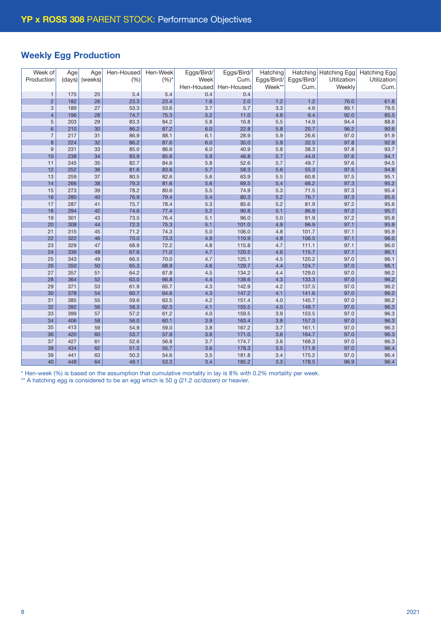# Weekly Egg Production

| Week of        | Age    | Age     | Hen-Housed | Hen-Week  | Eggs/Bird/ | Eggs/Bird/ | Hatching   |            | Hatching Hatching Egg | <b>Hatching Egg</b> |
|----------------|--------|---------|------------|-----------|------------|------------|------------|------------|-----------------------|---------------------|
| Production     | (days) | (weeks) | (% )       | $(%)^{*}$ | Week       | Cum.       | Eggs/Bird/ | Eggs/Bird/ | Utilization           | Utilization         |
|                |        |         |            |           | Hen-Housed | Hen-Housed | Week**     | Cum.       | Weekly                | Cum.                |
| $\mathbf{1}$   | 175    | 25      | 5.4        | 5.4       | 0.4        | 0.4        |            |            |                       |                     |
| $\overline{2}$ | 182    | 26      | 23.3       | 23.4      | 1.6        | 2.0        | 1.2        | 1.2        | 76.0                  | 61.8                |
| $\sqrt{3}$     | 189    | 27      | 53.3       | 53.6      | 3.7        | 5.7        | 3.3        | 4.6        | 89.1                  | 79.5                |
| $\overline{4}$ | 196    | 28      | 74.7       | 75.3      | 5.2        | 11.0       | 4.8        | 9.4        | 92.0                  | 85.5                |
| 5              | 203    | 29      | 83.3       | 84.2      | 5.8        | 16.8       | 5.5        | 14.9       | 94.4                  | 88.6                |
| $6\phantom{1}$ | 210    | 30      | 86.2       | 87.2      | 6.0        | 22.8       | 5.8        | 20.7       | 96.2                  | 90.6                |
| $\overline{7}$ | 217    | 31      | 86.9       | 88.1      | 6.1        | 28.9       | 5.9        | 26.6       | 97.0                  | 91.9                |
| 8              | 224    | 32      | 86.2       | 87.6      | 6.0        | 35.0       | 5.9        | 32.5       | 97.8                  | 92.9                |
| $\overline{9}$ | 231    | 33      | 85.0       | 86.6      | 6.0        | 40.9       | 5.8        | 38.3       | 97.8                  | 93.7                |
| 10             | 238    | 34      | 83.9       | 85.6      | 5.9        | 46.8       | 5.7        | 44.0       | 97.6                  | 94.1                |
| 11             | 245    | 35      | 82.7       | 84.6      | 5.8        | 52.6       | 5.7        | 49.7       | 97.6                  | 94.5                |
| 12             | 252    | 36      | 81.6       | 83.6      | 5.7        | 58.3       | 5.6        | 55.3       | 97.5                  | 94.8                |
| 13             | 259    | 37      | 80.5       | 82.6      | 5.6        | 63.9       | 5.5        | 60.8       | 97.5                  | 95.1                |
| 14             | 266    | 38      | 79.3       | 81.6      | 5.6        | 69.5       | 5.4        | 66.2       | 97.3                  | 95.2                |
| 15             | 273    | 39      | 78.2       | 80.6      | 5.5        | 74.9       | 5.3        | 71.5       | 97.3                  | 95.4                |
| 16             | 280    | 40      | 76.9       | 79.4      | 5.4        | 80.3       | 5.2        | 76.7       | 97.3                  | 95.5                |
| 17             | 287    | 41      | 75.7       | 78.4      | 5.3        | 85.6       | 5.2        | 81.9       | 97.2                  | 95.6                |
| 18             | 294    | 42      | 74.6       | 77.4      | 5.2        | 90.8       | 5.1        | 86.9       | 97.2                  | 95.7                |
| 19             | 301    | 43      | 73.5       | 76.4      | 5.1        | 96.0       | 5.0        | 91.9       | 97.2                  | 95.8                |
| 20             | 308    | 44      | 72.3       | 75.3      | 5.1        | 101.0      | 4.9        | 96.9       | 97.1                  | 95.9                |
| 21             | 315    | 45      | 71.2       | 74.3      | 5.0        | 106.0      | 4.8        | 101.7      | 97.1                  | 95.9                |
| 22             | 322    | 46      | 70.0       | 73.3      | 4.9        | 110.9      | 4.8        | 106.5      | 97.1                  | 96.0                |
| 23             | 329    | 47      | 68.9       | 72.2      | 4.8        | 115.8      | 4.7        | 111.1      | 97.1                  | 96.0                |
| 24             | 336    | 48      | 67.6       | 71.0      | 4.7        | 120.5      | 4.6        | 115.7      | 97.1                  | 96.1                |
| 25             | 343    | 49      | 66.5       | 70.0      | 4.7        | 125.1      | 4.5        | 120.2      | 97.0                  | 96.1                |
| 26             | 350    | 50      | 65.3       | 68.9      | 4.6        | 129.7      | 4.4        | 124.7      | 97.0                  | 96.1                |
| 27             | 357    | 51      | 64.2       | 67.8      | 4.5        | 134.2      | 4.4        | 129.0      | 97.0                  | 96.2                |
| 28             | 364    | 52      | 63.0       | 66.8      | 4.4        | 138.6      | 4.3        | 133.3      | 97.0                  | 96.2                |
| 29             | 371    | 53      | 61.9       | 65.7      | 4.3        | 142.9      | 4.2        | 137.5      | 97.0                  | 96.2                |
| 30             | 378    | 54      | 60.7       | 64.6      | 4.3        | 147.2      | 4.1        | 141.6      | 97.0                  | 96.2                |
| 31             | 385    | 55      | 59.6       | 63.5      | 4.2        | 151.4      | 4.0        | 145.7      | 97.0                  | 96.2                |
| 32             | 392    | 56      | 58.3       | 62.3      | 4.1        | 155.5      | 4.0        | 149.7      | 97.0                  | 96.3                |
| 33             | 399    | 57      | 57.2       | 61.2      | 4.0        | 159.5      | 3.9        | 153.5      | 97.0                  | 96.3                |
| 34             | 406    | 58      | 56.0       | 60.1      | 3.9        | 163.4      | 3.8        | 157.3      | 97.0                  | 96.3                |
| 35             | 413    | 59      | 54.9       | 59.0      | 3.8        | 167.2      | 3.7        | 161.1      | 97.0                  | 96.3                |
| 36             | 420    | 60      | 53.7       | 57.9      | 3.8        | 171.0      | 3.6        | 164.7      | 97.0                  | 96.3                |
| 37             | 427    | 61      | 52.6       | 56.8      | 3.7        | 174.7      | 3.6        | 168.3      | 97.0                  | 96.3                |
| 38             | 434    | 62      | 51.5       | 55.7      | 3.6        | 178.3      | 3.5        | 171.8      | 97.0                  | 96.4                |
| 39             | 441    | 63      | 50.3       | 54.6      | 3.5        | 181.8      | 3.4        | 175.2      | 97.0                  | 96.4                |
| 40             | 448    | 64      | 49.1       | 53.3      | 3.4        | 185.2      | 3.3        | 178.5      | 96.9                  | 96.4                |

\* Hen-week (%) is based on the assumption that cumulative mortality in lay is 8% with 0.2% mortality per week.

\*\* A hatching egg is considered to be an egg which is 50 g (21.2 oz/dozen) or heavier.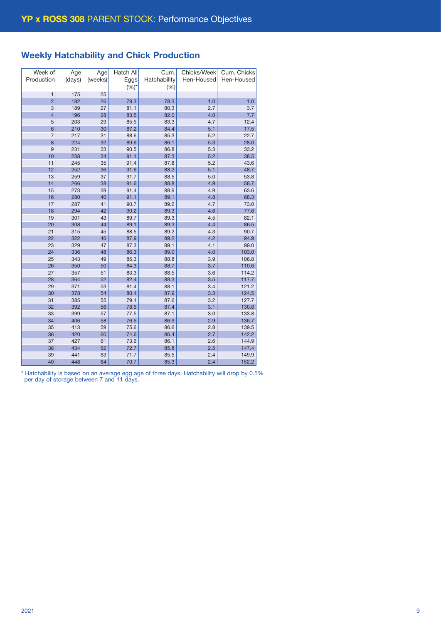# Weekly Hatchability and Chick Production

| Week of                  | Age    | Age     | Hatch All | Cum.         | Chicks/Week | Cum. Chicks |
|--------------------------|--------|---------|-----------|--------------|-------------|-------------|
| Production               | (days) | (weeks) | Eggs      | Hatchability | Hen-Housed  | Hen-Housed  |
|                          |        |         | $(%)^{*}$ | (% )         |             |             |
| $\mathbf{1}$             | 175    | 25      |           |              |             |             |
| $\overline{2}$           | 182    | 26      | 78.3      | 78.3         | 1.0         | 1.0         |
| 3                        | 189    | 27      | 81.1      | 80.3         | 2.7         | 3.7         |
| $\overline{\mathcal{L}}$ | 196    | 28      | 83.5      | 82.0         | 4.0         | 7.7         |
| 5                        | 203    | 29      | 85.5      | 83.3         | 4.7         | 12.4        |
| $6\phantom{1}6$          | 210    | 30      | 87.2      | 84.4         | 5.1         | 17.5        |
| $\overline{7}$           | 217    | 31      | 88.6      | 85.3         | 5.2         | 22.7        |
| 8                        | 224    | 32      | 89.6      | 86.1         | 5.3         | 28.0        |
| 9                        | 231    | 33      | 90.5      | 86.8         | 5.3         | 33.2        |
| 10                       | 238    | 34      | 91.1      | 87.3         | 5.2         | 38.5        |
| 11                       | 245    | 35      | 91.4      | 87.8         | 5.2         | 43.6        |
| 12                       | 252    | 36      | 91.6      | 88.2         | 5.1         | 48.7        |
| 13                       | 259    | 37      | 91.7      | 88.5         | 5.0         | 53.8        |
| 14                       | 266    | 38      | 91.6      | 88.8         | 4.9         | 58.7        |
| 15                       | 273    | 39      | 91.4      | 88.9         | 4.9         | 63.6        |
| 16                       | 280    | 40      | 91.1      | 89.1         | 4.8         | 68.3        |
| 17                       | 287    | 41      | 90.7      | 89.2         | 4.7         | 73.0        |
| 18                       | 294    | 42      | 90.2      | 89.3         | 4.6         | 77.6        |
| 19                       | 301    | 43      | 89.7      | 89.3         | 4.5         | 82.1        |
| 20                       | 308    | 44      | 89.1      | 89.3         | 4.4         | 86.5        |
| 21                       | 315    | 45      | 88.5      | 89.2         | 4.3         | 90.7        |
| 22                       | 322    | 46      | 87.9      | 89.2         | 4.2         | 94.9        |
| 23                       | 329    | 47      | 87.3      | 89.1         | 4.1         | 99.0        |
| 24                       | 336    | 48      | 86.3      | 89.0         | 4.0         | 103.0       |
| 25                       | 343    | 49      | 85.3      | 88.8         | 3.9         | 106.8       |
| 26                       | 350    | 50      | 84.3      | 88.7         | 3.7         | 110.6       |
| 27                       | 357    | 51      | 83.3      | 88.5         | 3.6         | 114.2       |
| 28                       | 364    | 52      | 82.4      | 88.3         | 3.5         | 117.7       |
| 29                       | 371    | 53      | 81.4      | 88.1         | 3.4         | 121.2       |
| 30                       | 378    | 54      | 80.4      | 87.9         | 3.3         | 124.5       |
| 31                       | 385    | 55      | 79.4      | 87.6         | 3.2         | 127.7       |
| 32                       | 392    | 56      | 78.5      | 87.4         | 3.1         | 130.8       |
| 33                       | 399    | 57      | 77.5      | 87.1         | 3.0         | 133.8       |
| 34                       | 406    | 58      | 76.5      | 86.9         | 2.9         | 136.7       |
| 35                       | 413    | 59      | 75.6      | 86.6         | 2.8         | 139.5       |
| 36                       | 420    | 60      | 74.6      | 86.4         | 2.7         | 142.2       |
| 37                       | 427    | 61      | 73.6      | 86.1         | 2.6         | 144.9       |
| 38                       | 434    | 62      | 72.7      | 85.8         | 2.5         | 147.4       |
| 39                       | 441    | 63      | 71.7      | 85.5         | 2.4         | 149.9       |
| 40                       | 448    | 64      | 70.7      | 85.3         | 2.4         | 152.2       |

\* Hatchability is based on an average egg age of three days. Hatchability will drop by 0.5% per day of storage between 7 and 11 days.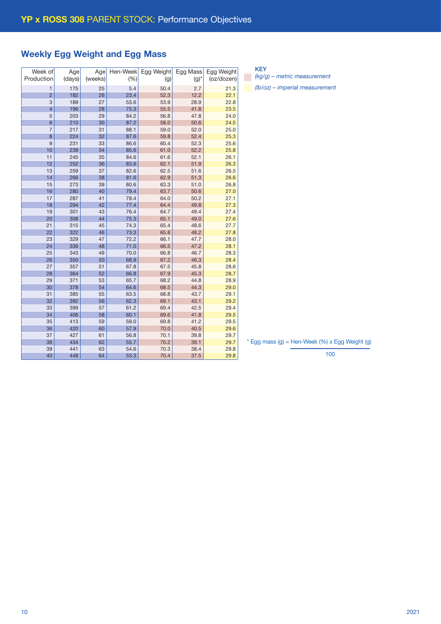# Weekly Egg Weight and Egg Mass

| Week of<br>Production    | Age<br>(days) | Age<br>(weeks) | Hen-Week<br>(% ) | Egg Weight<br>(g) | Egg Mass<br>$(g)^*$ | Egg Weight<br>(oz/dozen) |
|--------------------------|---------------|----------------|------------------|-------------------|---------------------|--------------------------|
| $\mathbf{1}$             | 175           | 25             | 5.4              | 50.4              | 2.7                 | 21.3                     |
| $\overline{2}$           | 182           | 26             | 23.4             | 52.3              | 12.2                | 22.1                     |
| 3                        | 189           | 27             | 53.6             | 53.9              | 28.9                | 22.8                     |
| $\overline{\mathcal{L}}$ | 196           | 28             | 75.3             | 55.5              | 41.8                | 23.5                     |
| 5                        | 203           | 29             | 84.2             | 56.8              | 47.8                | 24.0                     |
| 6                        | 210           | 30             | 87.2             | 58.0              | 50.6                | 24.5                     |
| 7                        | 217           | 31             | 88.1             | 59.0              | 52.0                | 25.0                     |
| 8                        | 224           | 32             | 87.6             | 59.8              | 52.4                | 25.3                     |
| 9                        | 231           | 33             | 86.6             | 60.4              | 52.3                | 25.6                     |
| 10                       | 238           | 34             | 85.6             | 61.0              | 52.2                | 25.8                     |
| 11                       | 245           | 35             | 84.6             | 61.6              | 52.1                | 26.1                     |
| 12                       | 252           | 36             | 83.6             | 62.1              | 51.9                | 26.3                     |
| 13                       | 259           | 37             | 82.6             | 62.5              | 51.6                | 26.5                     |
| 14                       | 266           | 38             | 81.6             | 62.9              | 51.3                | 26.6                     |
| 15                       | 273           | 39             | 80.6             | 63.3              | 51.0                | 26.8                     |
| 16                       | 280           | 40             | 79.4             | 63.7              | 50.6                | 27.0                     |
| 17                       | 287           | 41             | 78.4             | 64.0              | 50.2                | 27.1                     |
| 18                       | 294           | 42             | 77.4             | 64.4              | 49.8                | 27.3                     |
| 19                       | 301           | 43             | 76.4             | 64.7              | 49.4                | 27.4                     |
| 20                       | 308           | 44             | 75.3             | 65.1              | 49.0                | 27.6                     |
| 21                       | 315           | 45             | 74.3             | 65.4              | 48.6                | 27.7                     |
| 22                       | 322           | 46             | 73.3             | 65.8              | 48.2                | 27.8                     |
| 23                       | 329           | 47             | 72.2             | 66.1              | 47.7                | 28.0                     |
| 24                       | 336           | 48             | 71.0             | 66.5              | 47.2                | 28.1                     |
| 25                       | 343           | 49             | 70.0             | 66.8              | 46.7                | 28.3                     |
| 26                       | 350           | 50             | 68.9             | 67.2              | 46.3                | 28.4                     |
| 27                       | 357           | 51             | 67.8             | 67.5              | 45.8                | 28.6                     |
| 28                       | 364           | 52             | 66.8             | 67.9              | 45.3                | 28.7                     |
| 29                       | 371           | 53             | 65.7             | 68.2              | 44.8                | 28.9                     |
| 30                       | 378           | 54             | 64.6             | 68.5              | 44.3                | 29.0                     |
| 31                       | 385           | 55             | 63.5             | 68.8              | 43.7                | 29.1                     |
| 32                       | 392           | 56             | 62.3             | 69.1              | 43.1                | 29.2                     |
| 33                       | 399           | 57             | 61.2             | 69.4              | 42.5                | 29.4                     |
| 34                       | 406           | 58             | 60.1             | 69.6              | 41.8                | 29.5                     |
| 35                       | 413           | 59             | 59.0             | 69.8              | 41.2                | 29.5                     |
| 36                       | 420           | 60             | 57.9             | 70.0              | 40.5                | 29.6                     |
| 37                       | 427           | 61             | 56.8             | 70.1              | 39.8                | 29.7                     |
| 38                       | 434           | 62             | 55.7             | 70.2              | 39.1                | 29.7                     |
| 39                       | 441           | 63             | 54.6             | 70.3              | 38.4                | 29.8                     |
| 40                       | 448           | 64             | 53.3             | 70.4              | 37.5                | 29.8                     |

KEY *(kg/g) – metric measurement*

*(lb/oz) – imperial measurement*

 $*$  Egg mass (g) = Hen-Week (%) x Egg Weight (g)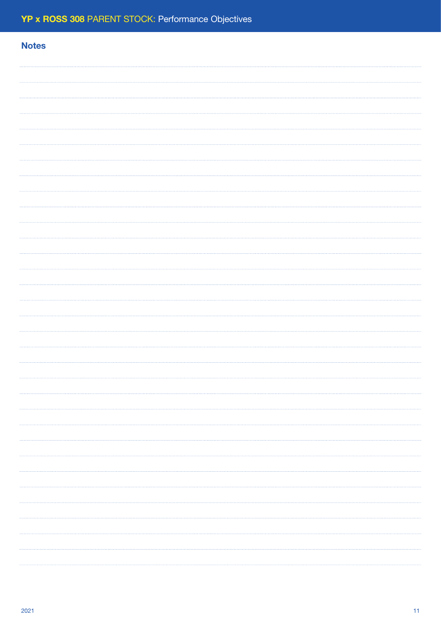# **Notes**  $\cdots$